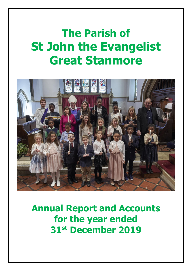# **The Parish of St John the Evangelist Great Stanmore**



**Annual Report and Accounts for the year ended 31st December 2019**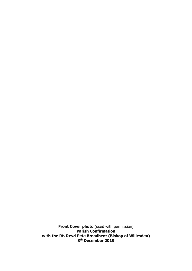**Front Cover photo** (used with permission) **Parish Confirmation with the Rt. Revd Pete Broadbent (Bishop of Willesden) 8 th December 2019**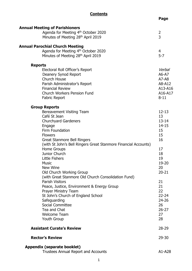# **Contents**

 **Page**

| <b>Annual Meeting of Parishioners</b>                           |               |
|-----------------------------------------------------------------|---------------|
| Agenda for Meeting 4th October 2020                             |               |
| Minutes of Meeting 28th April 2019                              | $\frac{2}{3}$ |
| <b>Annual Parochial Church Meeting</b>                          |               |
| Agenda for Meeting 4th October 2020                             | 4             |
| Minutes of Meeting 28 <sup>th</sup> April 2019                  | $5 - 7$       |
| <b>Reports</b>                                                  |               |
| Electoral Roll Officer's Report                                 | Verbal        |
| Deanery Synod Report                                            | $A6 - A7$     |
| <b>Church House</b>                                             | $A7-A8$       |
| Parish Administrator's Report                                   | A8-A12        |
| <b>Financial Review</b>                                         | A13-A16       |
| <b>Church Workers Pension Fund</b>                              | A16-A17       |
| <b>Fabric Report</b>                                            | $8 - 11$      |
| <b>Group Reports</b>                                            |               |
| <b>Bereavement Visiting Team</b>                                | $12 - 13$     |
| Café St Jean                                                    | 13            |
| <b>Churchyard Gardeners</b>                                     | $13 - 14$     |
| Engage                                                          | $14 - 15$     |
| Firm Foundation                                                 | 15            |
| <b>Flowers</b>                                                  | 15            |
| <b>Great Stanmore Bell Ringers</b>                              | 16            |
| (with St John's Bell Ringers Great Stanmore Financial Accounts) |               |
| <b>Home Groups</b><br>Junior Church                             | 17            |
|                                                                 | 18            |
| Little Fishers<br><b>Music</b>                                  | 19            |
| <b>New Wine</b>                                                 | 19-20<br>20   |
| Old Church Working Group                                        | $20 - 21$     |
| (with Great Stanmore Old Church Consolidation Fund)             |               |
| <b>Parish Visitors</b>                                          | 21            |
| Peace, Justice, Environment & Energy Group                      | 21            |
| Prayer Ministry Team                                            | 22            |
| St John's Church of England School                              | $22 - 24$     |
| Safeguarding                                                    | $24 - 26$     |
| <b>Social Committee</b>                                         | 26            |
| Tea and Chat                                                    | $26 - 27$     |
| <b>Welcome Team</b>                                             | 27            |
| Youth Group                                                     | 28            |
| <b>Assistant Curate's Review</b>                                | 28-29         |
| <b>Rector's Review</b>                                          | $29 - 30$     |
| Appendix (separate booklet)                                     |               |
| <b>Trustees Annual Report and Accounts</b>                      | A1-A28        |
|                                                                 |               |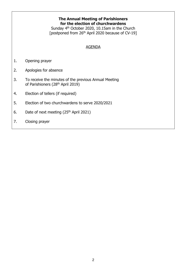# **The Annual Meeting of Parishioners for the election of churchwardens**

Sunday 4<sup>th</sup> October 2020, 10.15am in the Church [postponed from 26th April 2020 because of CV-19]

# **AGENDA**

- 1. Opening prayer
- 2. Apologies for absence
- 3. To receive the minutes of the previous Annual Meeting of Parishioners (28<sup>th</sup> April 2019)
- 4. Election of tellers (if required)
- 5. Election of two churchwardens to serve 2020/2021
- 6. Date of next meeting  $(25<sup>th</sup>$  April 2021)
- 7. Closing prayer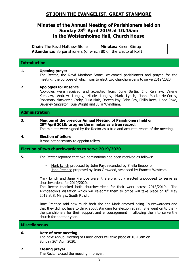# **ST JOHN THE EVANGELIST, GREAT STANMORE**

# **Minutes of the Annual Meeting of Parishioners held on Sunday 28th April 2019 at 10.45am in the Wolstenholme Hall, Church House**

**Chair:** The Revd Matthew Stone | Minutes: Karen Stirrup **Attendance:** 85 parishioners (of which 80 on the Electoral Roll)

| <b>Introduction</b>                              |                                                                                                                                                                                                                                                                                                                                             |  |
|--------------------------------------------------|---------------------------------------------------------------------------------------------------------------------------------------------------------------------------------------------------------------------------------------------------------------------------------------------------------------------------------------------|--|
| 1.                                               | <b>Opening prayer</b><br>The Rector, the Revd Matthew Stone, welcomed parishioners and prayed for the<br>meeting, the purpose of which was to elect two churchwardens to serve 2019/2020.                                                                                                                                                   |  |
| 2.                                               | <b>Apologies for absence</b><br>Apologies were received and accepted from: June Bertie, Eric Kershaw, Valerie<br>Kershaw, Andrew Lungay, Nicole Lungay, Mark Lynch, John Mackenzie-Corby,<br>Rosemary Mackenzie-Corby, Julia Mair, Doreen Pay, John Pay, Philip Rees, Linda Roke,<br>Beverley Singleton, Sue Wright and Julia Wyndham.      |  |
| <b>Administration</b>                            |                                                                                                                                                                                                                                                                                                                                             |  |
| 3.                                               | Minutes of the previous Annual Meeting of Parishioners held on<br>29th April 2018: to agree the minutes as a true record.<br>The minutes were signed by the Rector as a true and accurate record of the meeting.                                                                                                                            |  |
| 4.                                               | <b>Election of tellers</b><br>It was not necessary to appoint tellers.                                                                                                                                                                                                                                                                      |  |
| Election of two churchwardens to serve 2019/2020 |                                                                                                                                                                                                                                                                                                                                             |  |
| 5.                                               | The Rector reported that two nominations had been received as follows:                                                                                                                                                                                                                                                                      |  |
|                                                  | Mark Lynch proposed by John Pay, seconded by Sheila Enaboifo.<br>Jane Prentice proposed by Jean Orpwood, seconded by Frances Westcott.                                                                                                                                                                                                      |  |
|                                                  | Mark Lynch and Jane Prentice were, therefore, duly elected unopposed to serve as<br>churchwardens for 2019/2020.<br>The Rector thanked both churchwardens for their work across 2018/2019.<br>The<br>Archdeacon's Visitation which will re-admit them to office will take place on 8 <sup>th</sup> May<br>2019 at St Mary's, South Ruislip. |  |
|                                                  | Jane Prentice said how much both she and Mark enjoyed being Churchwardens and<br>that they did not have to think about standing for election again. She went on to thank<br>the parishioners for their support and encouragement in allowing them to serve the<br>church for another year.                                                  |  |
| <b>Miscellaneous</b>                             |                                                                                                                                                                                                                                                                                                                                             |  |
| 6.                                               | Date of next meeting<br>The next Annual Meeting of Parishioners will take place at 10.45am on<br>Sunday 26th April 2020.                                                                                                                                                                                                                    |  |
| 7.                                               | <b>Closing prayer</b><br>The Rector closed the meeting in prayer.                                                                                                                                                                                                                                                                           |  |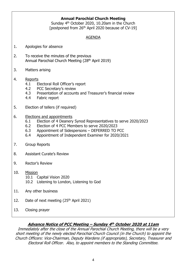|               | <b>Annual Parochial Church Meeting</b><br>Sunday 4 <sup>th</sup> October 2020, 10.20am in the Church<br>[postponed from 26 <sup>th</sup> April 2020 because of CV-19]                                                                                                          |  |
|---------------|--------------------------------------------------------------------------------------------------------------------------------------------------------------------------------------------------------------------------------------------------------------------------------|--|
| <b>AGENDA</b> |                                                                                                                                                                                                                                                                                |  |
| 1.            | Apologies for absence                                                                                                                                                                                                                                                          |  |
| 2.            | To receive the minutes of the previous<br>Annual Parochial Church Meeting (28 <sup>th</sup> April 2019)                                                                                                                                                                        |  |
| 3.            | Matters arising                                                                                                                                                                                                                                                                |  |
| 4.            | Reports<br>4.1<br>Electoral Roll Officer's report<br>4.2 PCC Secretary's review<br>4.3 Presentation of accounts and Treasurer's financial review<br>4.4<br>Fabric report                                                                                                       |  |
| 5.            | Election of tellers (if required)                                                                                                                                                                                                                                              |  |
| 6.            | Elections and appointments<br>Election of 4 Deanery Synod Representatives to serve 2020/2023<br>6.1<br>Election of 4 PCC Members to serve 2020/2023<br>6.2<br>Appointment of Sidespersons - DEFERRED TO PCC<br>6.3<br>Appointment of Independent Examiner for 2020/2021<br>6.4 |  |
| 7.            | <b>Group Reports</b>                                                                                                                                                                                                                                                           |  |
| 8.            | <b>Assistant Curate's Review</b>                                                                                                                                                                                                                                               |  |
| 9.            | <b>Rector's Review</b>                                                                                                                                                                                                                                                         |  |
| 10.           | <b>Mission</b><br>Capital Vision 2020<br>10.1<br>10.2<br>Listening to London, Listening to God                                                                                                                                                                                 |  |
| 11.           | Any other business                                                                                                                                                                                                                                                             |  |
| 12.           | Date of next meeting (25 <sup>th</sup> April 2021)                                                                                                                                                                                                                             |  |
| 13.           | Closing prayer                                                                                                                                                                                                                                                                 |  |

# **Advance Notice of PCC Meeting – Sunday 4 th October 2020 at 11am**

Immediately after the close of the Annual Parochial Church Meeting, there will be a very short meeting of the newly elected Parochial Church Council (in the Church) to appoint the Church Officers: Vice-Chairman, Deputy Wardens (if appropriate), Secretary, Treasurer and Electoral Roll Officer. Also, to appoint members to the Standing Committee.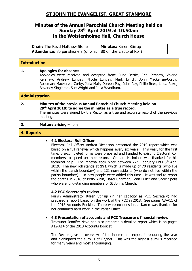# **ST JOHN THE EVANGELIST, GREAT STANMORE**

# **Minutes of the Annual Parochial Church Meeting held on Sunday 28th April 2019 at 10.50am in the Wolstenholme Hall, Church House**

**Chair:** The Revd Matthew Stone | Minutes: Karen Stirrup **Attendance:** 85 parishioners (of which 80 on the Electoral Roll)

| <b>Introduction</b>   |                                                                                                                                                                                                                                                                                                                                                                                                                                                                                                                                                                                                                                                                                                                                                                                                                                                                                                                                                                                                                                                                                                                                                                                                                                                                                                                                                                                                                                                                                                                                                                                      |  |
|-----------------------|--------------------------------------------------------------------------------------------------------------------------------------------------------------------------------------------------------------------------------------------------------------------------------------------------------------------------------------------------------------------------------------------------------------------------------------------------------------------------------------------------------------------------------------------------------------------------------------------------------------------------------------------------------------------------------------------------------------------------------------------------------------------------------------------------------------------------------------------------------------------------------------------------------------------------------------------------------------------------------------------------------------------------------------------------------------------------------------------------------------------------------------------------------------------------------------------------------------------------------------------------------------------------------------------------------------------------------------------------------------------------------------------------------------------------------------------------------------------------------------------------------------------------------------------------------------------------------------|--|
| 1.                    | <b>Apologies for absence</b><br>Apologies were received and accepted from: June Bertie, Eric Kershaw, Valerie<br>Kershaw, Andrew Lungay, Nicole Lungay, Mark Lynch, John Mackenzie-Corby,<br>Rosemary Mackenzie-Corby, Julia Mair, Doreen Pay, John Pay, Philip Rees, Linda Roke,<br>Beverley Singleton, Sue Wright and Julia Wyndham.                                                                                                                                                                                                                                                                                                                                                                                                                                                                                                                                                                                                                                                                                                                                                                                                                                                                                                                                                                                                                                                                                                                                                                                                                                               |  |
| <b>Administration</b> |                                                                                                                                                                                                                                                                                                                                                                                                                                                                                                                                                                                                                                                                                                                                                                                                                                                                                                                                                                                                                                                                                                                                                                                                                                                                                                                                                                                                                                                                                                                                                                                      |  |
| 2.                    | Minutes of the previous Annual Parochial Church Meeting held on<br>29th April 2018: to agree the minutes as a true record.<br>The minutes were signed by the Rector as a true and accurate record of the previous<br>meeting.                                                                                                                                                                                                                                                                                                                                                                                                                                                                                                                                                                                                                                                                                                                                                                                                                                                                                                                                                                                                                                                                                                                                                                                                                                                                                                                                                        |  |
| 3.                    | <b>Matters arising <math>-</math> none.</b>                                                                                                                                                                                                                                                                                                                                                                                                                                                                                                                                                                                                                                                                                                                                                                                                                                                                                                                                                                                                                                                                                                                                                                                                                                                                                                                                                                                                                                                                                                                                          |  |
| 4. Reports            |                                                                                                                                                                                                                                                                                                                                                                                                                                                                                                                                                                                                                                                                                                                                                                                                                                                                                                                                                                                                                                                                                                                                                                                                                                                                                                                                                                                                                                                                                                                                                                                      |  |
|                       | • 4.1 Electoral Roll Officer<br>Electoral Roll Officer Andrea Nicholson presented the 2019 report which was<br>based on a full renewal which happens every six years. This year, for the first<br>time, pre-completed forms were prepared and handed to existing Electoral Roll<br>members to speed up their return. Graham Nicholson was thanked for his<br>technical help. The renewal took place between 22 <sup>nd</sup> February until 5 <sup>th</sup> April<br>2019. The new roll stands at 191 which is made up of 70 residents (who live<br>within the parish boundary) and 121 non-residents (who do not live within the<br>parish boundary). 18 new people were added this time. It was sad to report<br>the deaths in 2018 of Betty Albin, Hazel Charman, Joan Fuller and Sadie Spells<br>who were long-standing members of St John's Church.<br>4.2 PCC Secretary's review<br>Parish Administrator Karen Stirrup (in her capacity as PCC Secretary) had<br>prepared a report based on the work of the PCC in 2018. See pages A8-A11 of<br>the 2018 Accounts Booklet. There were no questions. Karen was thanked for<br>her continued hard work in the Parish Office.<br>4.3 Presentation of accounts and PCC Treasurer's financial review<br>Treasurer Jennifer Neve had also prepared a detailed report which is on pages<br>A12-A14 of the 2018 Accounts Booklet.<br>The Rector gave an overview of the income and expenditure during the year<br>and highlighted the surplus of £7,958. This was the highest surplus recorded<br>for many years and most encouraging. |  |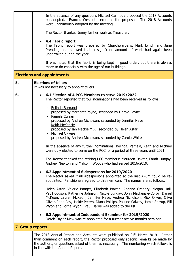|                                                                                                                                                                                                            | In the absence of any questions Michael Carmody proposed the 2018 Accounts<br>be adopted. Frances Westcott seconded the proposal. The 2018 Accounts<br>were unanimously adopted by the meeting.                                                                                                                                                                                           |  |  |
|------------------------------------------------------------------------------------------------------------------------------------------------------------------------------------------------------------|-------------------------------------------------------------------------------------------------------------------------------------------------------------------------------------------------------------------------------------------------------------------------------------------------------------------------------------------------------------------------------------------|--|--|
|                                                                                                                                                                                                            | The Rector thanked Jenny for her work as Treasurer.                                                                                                                                                                                                                                                                                                                                       |  |  |
|                                                                                                                                                                                                            | 4.4 Fabric report<br>The Fabric report was prepared by Churchwardens, Mark Lynch and Jane<br>Prentice, and showed that a significant amount of work had again been<br>undertaken during the year.                                                                                                                                                                                         |  |  |
|                                                                                                                                                                                                            | It was noted that the fabric is being kept in good order, but there is always<br>more to do especially with the age of our buildings.                                                                                                                                                                                                                                                     |  |  |
|                                                                                                                                                                                                            | <b>Elections and appointments</b>                                                                                                                                                                                                                                                                                                                                                         |  |  |
| 5.                                                                                                                                                                                                         | <b>Elections of tellers</b><br>It was not necessary to appoint tellers.                                                                                                                                                                                                                                                                                                                   |  |  |
| 6.                                                                                                                                                                                                         | 6.1 Election of 4 PCC Members to serve 2019/2022<br>The Rector reported that four nominations had been received as follows:                                                                                                                                                                                                                                                               |  |  |
|                                                                                                                                                                                                            | Belinda Burnand<br>proposed by Margaret Payne, seconded by Harold Payne<br>- Pamela Curran<br>proposed by Andrea Nicholson, seconded by Jennifer Neve<br>- Keith McKenzie<br>proposed by Ian Mackie MBE, seconded by Helen Astar<br>- Michael Okyere                                                                                                                                      |  |  |
|                                                                                                                                                                                                            | proposed by Andrea Nicholson, seconded by Carole White<br>In the absence of any further nominations, Belinda, Pamela, Keith and Michael<br>were duly elected to serve on the PCC for a period of three years until 2021.<br>The Rector thanked the retiring PCC Members: Maureen Davter, Farah Lungay,<br>Andrew Newton and Malcolm Woods who had served 2016/2019.                       |  |  |
| 6.2 Appointment of Sidespersons for 2019/2020<br>The Rector asked if all sidespersons appointed at the last APCM could be re-<br>appointed. Parishioners agreed to this nem con. The names are as follows: |                                                                                                                                                                                                                                                                                                                                                                                           |  |  |
|                                                                                                                                                                                                            | Helen Astar, Valerie Banger, Elizabeth Bowen, Reanna Gregory, Megan Hall,<br>Pat Hodgson, Katherine Johnson, Nicole Lungay, John Mackenzie-Corby, Daniel<br>McKeon, Lauren McKeon, Jennifer Neve, Andrea Nicholson, Mick Oliver, Olive<br>Oliver, John Pay, Jackie Peters, Diana Phillips, Pauline Salway, Jamie Stirrup, Bill<br>Wyon and Lorna Wyon. Paul Harris was added to the list. |  |  |
|                                                                                                                                                                                                            | 6.3 Appointment of Independent Examiner for 2019/2020<br>Derek Taylor-Mew was re-appointed for a further twelve months nem con.                                                                                                                                                                                                                                                           |  |  |
| 7. Group reports                                                                                                                                                                                           |                                                                                                                                                                                                                                                                                                                                                                                           |  |  |
|                                                                                                                                                                                                            | The 2018 Annual Report and Accounts were published on 24 <sup>th</sup> March 2019. Rather<br>than comment on each report, the Rector proposed only specific remarks be made by<br>the authors, or questions asked of them as necessary. The numbering which follows is<br>in line with the Annual Report.                                                                                 |  |  |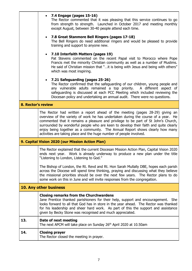|                           | 7.4 Engage (pages 15-16)<br>$\bullet$<br>The Rector commented that it was pleasing that this service continues to go<br>from strength to strength. Launched in October 2017 and meeting monthly<br>except August, between 30-40 people attend each time.<br>7.8 Great Stanmore Bell Ringers (pages 17-18)<br>$\bullet$<br>The Bell Ringers do need additional ringers and would be pleased to provide<br>training and support to anyone new.<br>• 7.10 Interfaith Matters (pages 19)<br>Pat Stevens commented on the recent Papal visit to Morocco where Pope<br>Francis met the minority Christian community as well as a number of Muslims.<br>He said of Christian mission that "it is being with Jesus and being with others"<br>which was most inspiring.<br>7.21 Safeguarding (pages 25-26)<br>$\bullet$<br>The Rector confirmed that the safeguarding of our children, young people and<br>any vulnerable adults remained a top priority.<br>A different aspect of<br>safeguarding is discussed at each PCC Meeting which included reviewing the<br>Diocesan policy and undertaking an annual audit. There were no questions. |  |  |
|---------------------------|--------------------------------------------------------------------------------------------------------------------------------------------------------------------------------------------------------------------------------------------------------------------------------------------------------------------------------------------------------------------------------------------------------------------------------------------------------------------------------------------------------------------------------------------------------------------------------------------------------------------------------------------------------------------------------------------------------------------------------------------------------------------------------------------------------------------------------------------------------------------------------------------------------------------------------------------------------------------------------------------------------------------------------------------------------------------------------------------------------------------------------------|--|--|
| <b>8. Rector's review</b> |                                                                                                                                                                                                                                                                                                                                                                                                                                                                                                                                                                                                                                                                                                                                                                                                                                                                                                                                                                                                                                                                                                                                      |  |  |
|                           | The Rector had written a report ahead of the meeting (pages 28-29) giving an<br>overview of the variety of work he has undertaken during the course of a year. He<br>commented that it remains a pleasure and privilege to be part of St John's Church,<br>surrounded by wonderful people who are keen to develop their faith and quite clearly<br>enjoy being together as a community. The Annual Report shows clearly how many<br>activities are taking place and the huge number of people involved.                                                                                                                                                                                                                                                                                                                                                                                                                                                                                                                                                                                                                              |  |  |
|                           | 9. Capital Vision 2020 (our Mission Action Plan)                                                                                                                                                                                                                                                                                                                                                                                                                                                                                                                                                                                                                                                                                                                                                                                                                                                                                                                                                                                                                                                                                     |  |  |
|                           | The Rector explained that the current Diocesan Mission Action Plan, Capital Vision 2020<br>ends next year. Work is already underway to produce a new plan under the title<br>"Listening to London, Listening to God."                                                                                                                                                                                                                                                                                                                                                                                                                                                                                                                                                                                                                                                                                                                                                                                                                                                                                                                |  |  |
|                           | The Bishop of London, the Rt. Revd and Rt. Hon Sarah Mullally DBE, hopes each parish<br>across the Diocese will spend time thinking, praying and discussing what they believe<br>the missional priorities should be over the next few years. The Rector plans to do<br>some work on this in June and will invite responses from the congregation.                                                                                                                                                                                                                                                                                                                                                                                                                                                                                                                                                                                                                                                                                                                                                                                    |  |  |
|                           | <b>10. Any other business</b>                                                                                                                                                                                                                                                                                                                                                                                                                                                                                                                                                                                                                                                                                                                                                                                                                                                                                                                                                                                                                                                                                                        |  |  |
|                           | <b>Closing remarks from the Churchwardens</b><br>Jane Prentice thanked parishioners for their help, support and encouragement. She<br>looks forward to all that God has in store in the year ahead. The Rector was thanked<br>for his leadership and sheer hard work. As part of this the support and assistance<br>given by Becky Stone was recognised and much appreciated.                                                                                                                                                                                                                                                                                                                                                                                                                                                                                                                                                                                                                                                                                                                                                        |  |  |
| 13.                       | Date of next meeting<br>The next APCM will take place on Sunday 26 <sup>th</sup> April 2020 at 10.50am                                                                                                                                                                                                                                                                                                                                                                                                                                                                                                                                                                                                                                                                                                                                                                                                                                                                                                                                                                                                                               |  |  |
| 14.                       | <b>Closing prayer</b><br>The Rector closed the meeting in prayer.                                                                                                                                                                                                                                                                                                                                                                                                                                                                                                                                                                                                                                                                                                                                                                                                                                                                                                                                                                                                                                                                    |  |  |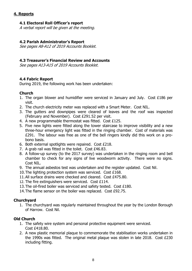# **4. Reports**

# **4.1 Electoral Roll Officer's report**

A verbal report will be given at the meeting.

#### **4.2 Parish Administrator's Report**

See pages A8-A12 of 2019 Accounts Booklet.

#### **4.3 Treasurer's Financial Review and Accounts**

See pages A13-A15 of 2019 Accounts Booklet.

# **4.4 Fabric Report**

During 2019, the following work has been undertaken:

#### **Church**

- 1. The organ blower and humidifier were serviced in January and July. Cost £186 per visit.
- 2. The church electricity meter was replaced with a Smart Meter. Cost NIL.
- 3. The gutters and downpipes were cleared of leaves and the roof was inspected (February and November). Cost £291.52 per visit.
- 4. A new programmable thermostat was fitted. Cost £125.
- 5. Five new lights were fitted along the tower staircase to improve visibility and a new three-hour emergency light was fitted in the ringing chamber. Cost of materials was £291. The labour was free as one of the bell ringers kindly did this work on a probono basis.
- 6. Both external spotlights were repaired. Cost £218.
- 7. A grab rail was fitted in the toilet. Cost £46.83.
- 8. A follow-up survey (to the 2017 survey) was undertaken in the ringing room and bell chamber to check for any signs of live woodworm activity. There were no signs. Cost NIL.
- 9. The annual asbestos test was undertaken and the register updated. Cost Nil.
- 10.The lighting protection system was serviced. Cost £168.
- 11.All surface drains were checked and cleared. Cost £475.80.
- 12. The fire extinguishers were serviced. Cost £114.
- 13.The oil-fired boiler was serviced and safety tested. Cost £180.
- 14.The flame sensor on the boiler was replaced. Cost £92.75.

# **Churchyard**

1. The churchyard was regularly maintained throughout the year by the London Borough of Harrow. Cost Nil.

# **Old Church**

- 1. The safety wire system and personal protective equipment were serviced. Cost £418.80.
- 2. A new plastic memorial plaque to commemorate the stabilisation works undertaken in the 1990s was fitted. The original metal plaque was stolen in late 2018. Cost £230 including fitting.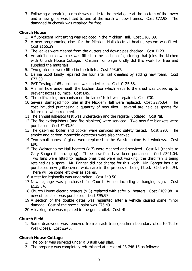3. Following a break in, a repair was made to the metal gate at the bottom of the tower and a new grille was fitted to one of the north window frames. Cost £72.98. The damaged brickwork was repaired for free.

# **Church House**

- 1. A fluorescent light fitting was replaced in the Micklem Hall. Cost £168.89.
- 2. A new programming clock for the Micklem Hall electrical heating system was fitted. Cost £165.29.
- 3. The leaves were cleared from the gutters and downpipes checked. Cost £123.
- 4. An additional downpipe was fitted to the section of guttering that joins the kitchen with Church House Cottage. Cristian Tomoiaga kindly did this work for free and supplied the materials.
- 5. Two grab rails were fitted in the toilets. Cost £93.67.
- 6. Darina Scott kindly repaired the four altar rail kneelers by adding new foam. Cost £73.30.
- 7. PAT Testing of 65 appliances was undertaken. Cost £125.68.
- 8. A small hole underneath the kitchen door which leads to the shed was closed up to prevent access by mice. Cost £45.
- 9. The self-closing mechanism on the ladies' toilet was repaired. Cost £30.
- 10.Several damaged floor tiles in the Micklem Hall were replaced. Cost £275.64. The cost included purchasing a quantity of new tiles – several are held as spares for future use when required.
- 11.The annual asbestos test was undertaken and the register updated. Cost Nil.
- 12.The fire extinguishers (and fire blankets) were serviced. Two new fire blankets were purchased. Cost £143.50.
- 13.The gas-fired boiler and cooker were serviced and safety tested. Cost £90. The smoke and carbon monoxide detectors were also checked.
- 14.Two small panes of glass were replaced in the Wolstenholme Hall windows. Cost £90.
- 15.The Wolstenholme Hall heaters (x 7) were cleaned and serviced. Cost Nil (thanks to Gary Banger for arranging). Three new fans have been purchased. Cost £391.04. Two fans were fitted to replace ones that were not working, the third fan is being retained as a spare. Mr. Banger did not charge for this work. Mr. Banger has also purchased new grille covers which are in the process of being fitted. Cost £102.94. There will be some left over as spares.
- 16.A test for legionella was undertaken. Cost £49.50.
- 17.New signage was purchased for Church House including a hanging sign. Cost £135.54.
- 18.Church House electric heaters (x 3) replaced with safer oil heaters. Cost £109.98. A new office chair was purchased. Cost £95.97.
- 19.A section of the double gates was repainted after a vehicle caused some minor damage. Cost of the special paint was £76.49.
- 20.A leaking pipe was repaired in the gents toilet. Cost NIL.

# **Church Field**

1. Some deadwood was removed from an ash tree (southern boundary close to Tudor Well Close). Cost £240.

# **Church House Cottage**

- 1. The boiler was serviced under a British Gas plan.
- 2. The property was completely refurbished at a cost of £8,748.15 as follows: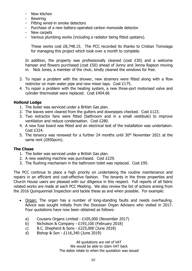- New kitchen
- **Rewiring**
- Fitting wired-in smoke detectors
- Purchase of a new battery-operated carbon monoxide detector
- New carpets
- Various plumbing works (including a radiator being fitted upstairs).

These works cost £8,748.15. The PCC recorded its thanks to Cristian Tomoiaga for managing this project which took over a month to complete.

In addition, the property was professionally cleaned (cost £30) and a welcome hamper and flowers purchased (cost £50) ahead of Jonny and Jenna Rapson moving in. Nick Jones, a member of the choir, kindly cleaned the windows for free.

- 3. To repair a problem with the shower, new strainers were fitted along with a flow restrictor on main water pipe and new mixer taps. Cost £175.
- 4. To repair a problem with the heating system, a new three-port motorised valve and cylinder thermostat were replaced. Cost £404.66

# **Hollond Lodge**

- 1. The boiler was serviced under a British Gas plan.
- 2. The leaves were cleared from the gutters and downpipes checked. Cost £123.
- 3. Two extractor fans were fitted (bathroom and in a small vestibule) to improve ventilation and reduce condensation. Cost £280.
- 4. A new fuse board was fitted and an electrical test of the installation was undertaken. Cost £324.
- 5. The tenancy was renewed for a further 24 months until 30<sup>th</sup> November 2021 at the same rent (£850pcm).

# **The Chase**

- 1. The boiler was serviced under a British Gas plan.
- 2. A new washing machine was purchased. Cost £229.
- 3. The flushing mechanism in the bathroom toilet was replaced. Cost £95.

The PCC continue to place a high priority on undertaking the routine maintenance and repairs in an efficient and cost-effective fashion. The tenants in the three properties and Church House users are pleased with our diligence in this respect. Full reports of all fabric related works are made at each PCC Meeting. We also review the list of actions arising from the 2016 Quinquennial Inspection and tackle these as and when possible. For example:

- Organ: The organ has a number of long-standing faults and needs overhauling. Advice was sought initially from the Diocesan Organ Advisers who visited in 2017. Four quotations have now been obtained as follows:
	- a) Cousans Organs Limited £105,000 (November 2017)
	- b) Nicholson & Company £193,100 (February 2018)
	- c) B.C. Shepherd & Sons £225,000 (June 2018)
	- d) Bishop & Son £116,340 (June 2019)

All quotations are net of VAT We would be able to claim VAT back The dates relate to when the quotation was issued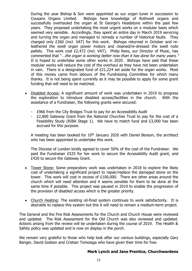During the year Bishop & Son were appointed as our organ tuner in succession to Cousans Organs Limited. Bishops have knowledge of Rothwell organs and successfully overhauled the organ at St George's Headstone within the past few years. They proposed undertaking the most urgent works on a modular basis which seemed very sensible. Accordingly, they spent an entire day in March 2019 servicing and turning the organ and managed to remedy a number of historical faults. They charged only £360 (incl. VAT) for this work. Bishops returned in October and releathered the swell organ power motors and cleaned/re-dressed the swell note pallets. This work cost £2,472 (incl. VAT). Philip Rees, our Director of Music, has commented that "...the organ is working better now than it has done for many years." It is hoped to undertake some other works in 2020. Bishops have said that these modular works will reduce the cost of the overhaul as they have not been undertaken in vain. There is a designated fund of £21,224 set aside for the organ works. Most of this money came from labours of the Fundraising Committee for which many thanks. It is not being spent currently as it may be possible to apply for some grant funding that will need to be matched.

- Disabled Access: A significant amount of work was undertaken in 2019 to progress the exploration to introduce disabled access/facilities in the church. With the assistance of a Fundraiser, the following grants were secured:
	- £966 from the City Bridges Trust to pay for an Accessibility Audit
	- £2,800 Gateway Grant from the National Churches Trust to pay for the cost of a Feasibility Study (RIBA Stage 1). We have to match fund and £3,000 has been accrued for this purpose.

A meeting has been booked for 10<sup>th</sup> January 2020 with Daniel Benson, the architect who has been appointed to undertake this work.

The Diocese of London kindly agreed to cover 50% of the cost of the Fundraiser. We paid the Fundraiser £525 for her work to secure the Accessibility Audit grant, and £420 to secure the Gateway Grant.

- Tower Stone: Some preparatory work was undertaken in 2018 to explore the likely cost of undertaking a significant project to repair/replace the damaged stone on the tower. This work will cost in excess of £100,000. There are other areas around the church which will need attention and it seems sensible for them to be done at the same time if possible. This project was paused in 2019 to enable the progression of the provision of disabled access which is the greater priority.
- Church Heating: The existing oil-fired system continues to work satisfactorily. It is desirable to replace this system but this it will need to remain a medium-term project.

The General and the Fire Risk Assessments for the Church and Church House were reviewed and updated. The Risk Assessment for the Old Church was also reviewed and updated. Actions arising from the review will be undertaken during the course of 2019. The Health & Safety policy was updated and is now on display in the porch.

We remain very grateful to those who help look after our various buildings, especially Gary Banger, David Godsen and Cristian Tomoiaga who have given their time for free.

# **Mark Lynch and Jane Prentice, Churchwardens**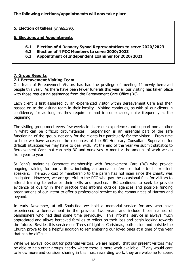**5. Election of tellers** (if required)

# **6. Elections and Appointments**

- **6.1 Election of 4 Deanery Synod Representatives to serve 2020/2023**
- **6.2 Election of 4 PCC Members to serve 2020/2023**
- **6.3 Appointment of Independent Examiner for 2020/2021**

# **7. Group Reports**

# **7.1 Bereavement Visiting Team**

Our team of Bereavement Visitors has had the privilege of meeting 11 newly bereaved people this year. As there have been fewer funerals this year all our visiting has taken place with those requesting assistance from the Bereavement Care Office (BC).

Each client is first assessed by an experienced visitor within Bereavement Care and then passed on to the visiting team in their locality. Visiting continues, as with all our clients in confidence, for as long as they require us and in some cases, quite frequently at the beginning.

The visiting group meet every few weeks to share our experiences and support one another in what can be difficult circumstances. Supervision is an essential part of the safe functioning of the group, not only for the clients but particularly for the visitor. From time to time we have accessed the resources of the BC Honorary Consultant Supervisor for difficult situations we may have to deal with. At the end of the year we submit statistics to Bereavement Care that can help BC and ourselves to monitor the amount of work we do from year to year.

St John's maintains Corporate membership with Bereavement Care (BC) who provide ongoing training for our visitors, including an annual conference that attracts excellent speakers. The £200 cost of membership to the parish has not risen since the charity was instigated. However, we are grateful to the PCC who pay the occasional fees for visitors to attend training to enhance their skills and practice. BC continues to seek to provide evidence of quality in their practice that informs outside agencies and possible funding organisations of our intent to offer a professional service to the communities of Harrow and beyond.

In early November, at All Souls-tide we hold a memorial service for any who have experienced a bereavement in the previous two years and include those names of parishioners who had died some time previously. This informal service is always much appreciated and allows bereaved families to reflect on their loss and begin looking towards the future. Besides this service our Trees of Light at Christmas, both inside and outside the Church prove to be a helpful addition to remembering our loved ones at a time of the year that can be difficult.

While we always look out for potential visitors, we are hopeful that our present visitors may be able to help other groups nearby where there is more work available. If any would care to know more and consider sharing in this most rewarding work, they are welcome to speak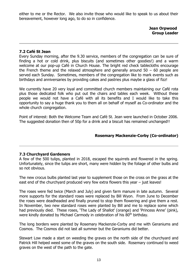either to me or the Rector. We also invite those who would like to speak to us about their bereavement, however long ago, to do so in confidence.

> **Jean Orpwood Group Leader**

#### **7.2 Café St Jean**

Every Sunday morning, after the 9.30 service, members of the congregation can be sure of finding a hot or cold drink, plus biscuits (and sometimes other goodies!) and a warm welcome at our pop-up Café in Church House. The bright red check tablecloths encourage the French theme and the relaxed atmosphere and generally around  $50 - 60$  people are served each Sunday. Sometimes, members of the congregation like to mark events such as birthdays and anniversaries by providing cakes and pastries plus maybe a glass of fizz!

We currently have 20 very loyal and committed church members maintaining our Café rota plus those dedicated folk who put out the chairs and tables each week. Without these people we would not have a Café with all its benefits and I would like to take this opportunity to say a huge thank you to them all on behalf of myself as Co-ordinator and the whole church congregation.

Point of interest: Both the Welcome Team and Café St. Jean were launched in October 2006. The suggested donation then of 50p for a drink and a biscuit has remained unchanged!!

#### **Rosemary Mackenzie-Corby (Co-ordinator)**

#### **7.3 Churchyard Gardeners**

A few of the 500 tulips, planted in 2018, escaped the squirrels and flowered in the spring. Unfortunately, since the tulips are short, many were hidden by the foliage of other bulbs and so not obvious.

The new crocus bulbs planted last year to supplement those on the cross on the grass at the east end of the churchyard produced very few extra flowers this year – just leaves!

The roses were fed twice (March and July) and given farm manure in late autumn. Several more supports for the standard roses were replaced by Bill Wyon. From June to December the roses were deadheaded and finally pruned to stop them flowering and give them a rest. In November, two new standard roses were planted by Bill and me to replace some which had previously died. These roses, 'The Lady of Shallot' (orange) and 'Princess Anne' (pink), were kindly donated by Michael Carmody in celebration of his 80<sup>th</sup> birthday.

The long borders were planted by Rosemary Mackenzie-Corby and me with Geraniums and Cosmos. The Cosmos did not last all summer but the Geraniums did better.

Stewart Low made a start on weeding the graves on the north side of the churchyard and Patrick Hill helped weed some of the graves on the south side. Rosemary continued to weed graves on the west of the path to the gate.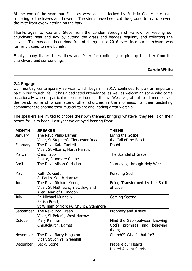At the end of the year, our Fuchsias were again attacked by Fuchsia Gall Mite causing blistering of the leaves and flowers. The stems have been cut the ground to try to prevent the mite from overwintering on the bark.

Thanks again to Rob and Steve from the London Borough of Harrow for keeping our churchyard neat and tidy by cutting the grass and hedges regularly and collecting the leaves. This has done been done free of charge since 2016 ever since our churchyard was formally closed to new burials.

Finally, many thanks to Matthew and Peter for continuing to pick up the litter from the churchyard and surroundings.

#### **Carole White**

# **7.4 Engage**

Our monthly contemporary service, which began in 2017, continues to play an important part in our church life. It has a dedicated attendance, as well as welcoming some who come occasionally when a particular speaker interests them. We are grateful to all members of the band, some of whom attend other churches in the mornings, for their unstinting commitment to sharing their musical talent and leading great worship.

The speakers are invited to choose their own themes, bringing whatever they feel is on their hearts for us to hear. Last year we enjoyed hearing from:

| <b>MONTH</b>    | <b>SPEAKER</b>                         | <b>THEME</b>                    |
|-----------------|----------------------------------------|---------------------------------|
| January         | The Revd Philip Barnes                 | Living the Gospel:              |
|                 | Vicar, St Stephen's Gloucester Road    | the Call of the Baptised.       |
| February        | The Revd Kate Tuckett                  | Doubt                           |
|                 | Vicar, St Alban's, North Harrow        |                                 |
| March           | Chris Tapp                             | The Scandal of Grace            |
|                 | Pastor, Stanmore Chapel                |                                 |
| April           | The Revd Alison Christian              | Journeying through Holy Week    |
| May             | <b>Ruth Dowsett</b>                    | <b>Pursuing God</b>             |
|                 | St Paul's, South Harrow                |                                 |
| June            | The Revd Richard Young                 | Being Transformed by the Spirit |
|                 | Vicar, St Matthew's, Yiewsley, and     | of Love                         |
|                 | Area Dean of Hillingdon                |                                 |
| July            | Fr. Michael Munnelly                   | <b>Coming Second</b>            |
|                 | Parish Priest,                         |                                 |
|                 | St William of York RC Church, Stanmore |                                 |
| September       | The Revd Rod Green                     | Prophecy and Justice            |
|                 | Vicar, St Peter's, West Harrow         |                                 |
| October         | Mary Rimmer                            | Mind the Gap (between knowing   |
|                 | Christchurch, Barnet                   | God's promises and believing    |
|                 |                                        | them).                          |
| November        | The Revd Barry Hingston                | Church?? What's that for?       |
|                 | Vicar, St John's, Greenhill            |                                 |
| <b>December</b> | <b>Becky Stone</b>                     | Prepare our Hearts              |
|                 |                                        | <b>United Advent Service</b>    |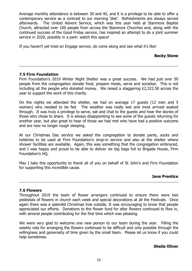Average monthly attendance is between 30 and 40, and it is a privilege to be able to offer a contemporary service as a contrast to our morning 'diet'. Refreshments are always served afterwards. The United Advent Service, which was this year held at Stanmore Baptist Church, attracted over 100 people from across the Stanmore Churches and, along with the continued success of the Good Friday service, has inspired an attempt to do a joint summer service in 2020, possibly in a park: watch this space!

If you haven't yet tried an Engage service, do come along and see what it's like!

#### **Becky Stone**

#### **7.5 Firm Foundation**

Firm Foundation's 2019 Winter Night Shelter was a great success. We had just over 50 people from the congregation donate food, prepare meals, serve and socialise. This is not including all the people who donated money. We raised a staggering £2,322.50 across the year to support the work of this charity.

On the nights we attended the shelter, we had on average 17 guests (12 men and 5 women) who needed to be fed. The weather was really wet and most arrived soaked through. It was truly a privilege to serve, eat and chat to the guests and hear the stories of those who chose to share. It is always disappointing to see some of the guests returning for another year, but also great to hear of those we had met who have had a positive outcome and are now no longer rough sleeping.

At our Christmas Day service we asked the congregation to donate pants, socks and toiletries to be used at Firm Foundation's drop-in service and also at the shelter where shower facilities are available. Again, this was something that the congregation embraced, and I was happy and proud to be able to deliver six big bags full to Brigade House, Firm Foundation's HQ.

May I take this opportunity to thank all of you on behalf of St John's and Firm Foundation for supporting this incredible cause.

#### **Jane Prentice**

#### **7.6 Flowers**

Throughout 2019 the team of flower arrangers continued to ensure there were two pedestals of flowers in church each week and special decorations at all the Festivals. Once again there was a splendid Christmas tree outside. It was encouraging to know that people appreciated our efforts. Donations to the flower fund for altar flowers continued to flow in, with several people contributing for the first time which was pleasing.

We were very glad to welcome one new person to our team during the year. Filling the weekly rota for arranging the flowers continued to be difficult and only possible through the willingness and generosity of time given by the small team. Please let us know if you could help sometimes.

#### **Sheila Oliver**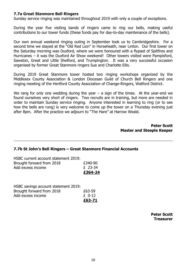#### **7.7a Great Stanmore Bell Ringers**

Sunday service ringing was maintained throughout 2019 with only a couple of exceptions.

During the year five visiting bands of ringers came to ring our bells, making useful contributions to our tower funds (these funds pay for day-to-day maintenance of the bells).

Our own annual weekend ringing outing in September took us to Cambridgeshire. For a second time we stayed at the "Old Red Lion" in Horseheath, near Linton. Our first tower on the Saturday morning was Duxford, where we were honoured with a flypast of Spitfires and Hurricanes – it was the Duxford Air Show weekend! Other towers visited were Pampisford, Sawston, Great and Little Shelford, and Trumpington. It was a very successful occasion organised by former Great Stanmore ringers Sue and Charlotte Ellis.

During 2019 Great Stanmore tower hosted two ringing workshops organized by the Middlesex County Association & London Diocesan Guild of Church Bell Ringers and one ringing meeting of the Hertford County Association of Change-Ringers, Watford District.

We rang for only one wedding during the year  $-$  a sign of the times. At the year-end we found ourselves very short of ringers. Two recruits are in training, but more are needed in order to maintain Sunday service ringing. Anyone interested in learning to ring (or to see how the bells are rung) is very welcome to come up the tower on a Thursday evening just after 8pm. After the practice we adjourn to "The Hare" at Harrow Weald.

> **Peter Scott Master and Steeple Keeper**

# **7.7b St John's Bell Ringers – Great Stanmore Financial Accounts**

|                                      | £364-24 |
|--------------------------------------|---------|
| Add excess income                    | £ 23-34 |
| Brought forward from 2018            | £340-90 |
| HSBC current account statement 2019: |         |
|                                      |         |

|                                      | £63-71 |
|--------------------------------------|--------|
| Add excess income                    | £ 0-12 |
| Brought forward from 2018            | £63-59 |
| HSBC savings account statement 2019: |        |

**Peter Scott Treasurer**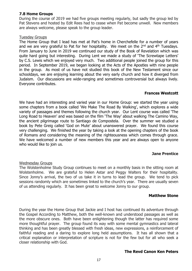#### **7.8 Home Groups**

During the course of 2019 we had five groups meeting regularly, but sadly the group led by Pat Stevens and hosted by Edit Rees had to cease when Pat become unwell. New members are always welcome, please speak to the group leader.

#### Tuesday Groups

The Home Group that I lead has met at Pat's home in Cherchefelle for a number of years and we are very grateful to Pat for her hospitality. We meet on the  $2<sup>nd</sup>$  and  $4<sup>th</sup>$  Tuesdays. From January to June in 2019 we continued our study of the Book of Revelation which was quite hard going but interesting. During Lent we made a study of 'The Screwtape Letters' by C.S. Lewis which we enjoyed very much. Two additional people joined the group for this period. In September 2019, we began looking at the Acts of the Apostles with nine people in the group. As most of us have not studied this book of the New Testament since our schooldays, we are enjoying learning about the very early church and how it diverged from Judaism. Our discussions are wide-ranging and sometimes controversial but always lively. Everyone contributes.

# **Frances Westcott**

We have had an interesting and varied year in our Home Group: we started the year using some chapters from a book called 'We Make The Road By Walking', which explores a wide variety of passages and themes following the church year. Our Lent course was called 'The Long Road to Heaven' and was based on the film 'The Way' about walking The Camino Way, the ancient pilgrimage route to Santiago de Compostela. Over the summer we studied a book by Pete Greig called 'God on Mute' about unanswered prayer. We found this course very challenging. We finished the year by taking a look at the opening chapters of the book of Romans and considering the meaning of the righteousness which comes through grace. We have welcomed a number of new members this year and are always open to anyone who would like to join us.

# **Jane Prentice**

#### Wednesday Groups

The Wolstenholme Study Group continues to meet on a monthly basis in the sitting room at Wolstenholme. We are grateful to Helen Astar and Peggy Walters for their hospitality. Since Jonny's arrival, the two of us take it in turns to lead the group. We tend to pick sessions randomly which are sometimes linked to the church's year. There are usually seven of us attending regularly. It has been great to welcome Jonny to our group.

#### **Matthew Stone**

During the year the Home Group that Jackie and I host has continued its adventure through the Gospel According to Matthew, both the well-known and understood passages as well as the more obscure ones. Both have been enlightening though the latter has required some more thoughtful prayer. The group found its way with some mental gymnastics and lateral thinking and has been greatly blessed with fresh ideas, new expressions, a reinforcement of faithful reading and a daring to explore long held assumptions. It has all shown that a critical explanation or interpretation of scripture is not for the few but for all who seek a closer relationship with God.

#### **The Revd Canon Ken Peters**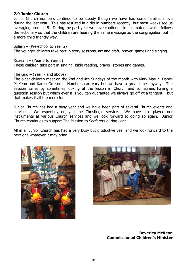# **7.9 Junior Church**

Junior Church numbers continue to be steady though we have had some families move during the last year. This has resulted in a dip in numbers recently, but most weeks see us averaging around 15. During the past year we have continued to use material which follows the lectionary so that the children are hearing the same message as the congregation but in a more child friendly way.

Splash – (Pre-school to Year 2) The younger children take part in story sessions, art and craft, prayer, games and singing.

Xstream – (Year 3 to Year 6)

These children take part in singing, bible reading, prayer, stories and games.

#### The Grid – (Year 7 and above)

The older children meet on the 2nd and 4th Sundays of the month with Mark Maslin, Daniel McKeon and Karen Omisore. Numbers can vary but we have a great time anyway. The session varies by sometimes looking at the lesson in Church and sometimes having a question session but which ever it is you can guarantee we always go off at a tangent – but that makes it all the more fun.

Junior Church has had a busy year and we have been part of several Church events and services. We especially enjoyed the Christingle service. We have also played our instruments at various Church services and we look forward to doing so again. Junior Church continues to support The Mission to Seafarers during Lent.

All in all Junior Church has had a very busy but productive year and we look forward to the next one whatever it may bring.





**Beverley McKeon Commissioned Children's Minister**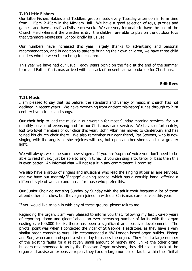#### **7.10 Little Fishers**

Our Little Fishers Babies and Toddlers group meets every Tuesday afternoon in term time from 1.15pm–2.45pm in the Micklem Hall. We have a good selection of toys, puzzles and games, and have a craft activity each week. We are very fortunate to have the use of the Church Field where, if the weather is dry, the children are able to play on the outdoor toys that Stanmore Montessori School kindly let us use.

Our numbers have increased this year, largely thanks to advertising and personal recommendation, and in addition to parents bringing their own children, we have three child minders who between them bring ten children.

This year we have had our usual Teddy Bears picnic on the field at the end of the summer term and Father Christmas arrived with his sack of presents as we broke up for Christmas.

#### **Edit Rees**

#### **7.11 Music**

I am pleased to say that, as before, the standard and variety of music in church has not declined in recent years. We have everything from ancient 'plainsong' tunes through to 21st century hymn tunes and songs.

Our choir help to lead the music in our worship for most Sunday morning services, for our monthly service of evensong and for our Christmas carol service. We have, unfortunately, lost two loyal members of our choir this year. John Albin has moved to Canterbury and has joined his church choir there. We also remember our dear friend, Pat Stevens, who is now singing with the angels as she rejoices with us, but upon another shore, and in a greater light.

We will always welcome some new singers. If you are 'soprano' voice you don't need to be able to read music, just be able to sing in tune. If you can sing alto, tenor or bass then this is even better. An informal chat will not result in any commitment, I promise!

We also have a group of singers and musicians who lead the singing at our all age services, and we have our monthly 'Engage' evening service, which has a worship band, offering a different style of worship and music for those who prefer this.

Our Junior Choir do not sing Sunday by Sunday with the adult choir because a lot of them attend other churches, but they again joined in with our Christmas carol service this year.

If you would like to join in with any of these groups, please talk to me.

Regarding the organ, I am very pleased to inform you that, following my last 5-or-so years of reporting 'doom and gloom' about an ever-increasing number of faults with the organ costing c. £100,000 to fix, there has been a significant and positive development. The pivotal point was when I contacted the vicar of St George, Headstone, as they have a very similar organ console to ours. He recommended a NW London-based organ builder, Bishop and Son, who came and spent a whole day to assess the organ. They fixed a large number of the existing faults for a relatively small amount of money and, unlike the other organ builders recommended to us by the Diocesan Organ Advisors, they did not just look at the organ and advise an expensive repair, they fixed a large number of faults within their 'initial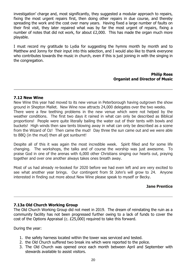investigation' charge and, most significantly, they suggested a modular approach to repairs, fixing the most urgent repairs first, then doing other repairs in due course, and thereby spreading the work and the cost over many years. Having fixed a large number of faults on their first visit, they later repaired what was by far the most urgent of repairs, fixing a number of notes that did not work, for about £2,000. This has made the organ much more playable.

I must record my gratitude to Lydia for suggesting the hymns month by month and to Matthew and Jonny for their input into this selection, and I would also like to thank everyone who contributes towards the music in church, even if this is just joining in with the singing in the congregation.

#### **Philip Rees Organist and Director of Music**

# **7.12 New Wine**

New Wine this year had moved to its new venue in Peterborough having outgrown the show ground in Shepton Mallet. New Wine now attracts 24,000 delegates over the two weeks. There were a few teething problems in the new venue which were not helped by the weather conditions. The first two days it rained in what can only be described as Biblical proportions! People were quite literally bailing the water out of their tents with bowls and buckets! High winds then saw tents blowing away in what can only be described as a scene from the Wizard of Oz! Then came the mud! Day three the sun came out and we were able to BBQ (in the mud) then all got sunburnt!

Despite all of this it was again the most incredible week. Spirit filled and for some life changing. The workshops, the talks and of course the worship was just awesome. To praise God in one of the arenas with 6,000 other Christians singing our hearts out, praying together and over one another always takes ones breath away.

Most of us had already re-booked for 2020 before we had even left and are very excited to see what another year brings. Our contingent from St John's will grow to 24. Anyone interested in finding out more about New Wine please speak to myself or Becky.

# **Jane Prentice**

# **7.13a Old Church Working Group**

The Old Church Working Group did not meet in 2019. The dream of reinstating the ruin as a community facility has not been progressed further owing to a lack of funds to cover the cost of the Options Appraisal (c. £25,000) required to take this forward.

During the year:

- 1. the safety harness located within the tower was serviced and tested.
- 2. the Old Church suffered two break ins which were reported to the police.
- 3. The Old Church was opened once each month between April and September with stewards available to assist visitors.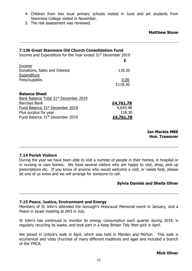- 4. Children from two local primary schools visited in June and art students from Stanmore College visited in November.
- 5. The risk assessment was reviewed.

#### **Matthew Stone**

| 7.13b Great Stanmore Old Church Consolidation Fund<br>Income and Expenditure for the Year ended 31 <sup>st</sup> December 2019 |                  |                                                |
|--------------------------------------------------------------------------------------------------------------------------------|------------------|------------------------------------------------|
|                                                                                                                                | £                |                                                |
| Income                                                                                                                         |                  |                                                |
| Donations, Sales and Interest<br><b>Expenditure</b>                                                                            | 118.30           |                                                |
| Fees/supplies                                                                                                                  | 0.00<br>£118.30  |                                                |
| <b>Balance Sheet</b>                                                                                                           |                  |                                                |
| Bank Balance Total 31 <sup>st</sup> December 2019                                                                              |                  |                                                |
| <b>Barclays Bank</b>                                                                                                           | <u>£4,761.78</u> |                                                |
| Fund Balance 31st December 2018                                                                                                | 4,643.48         |                                                |
| Plus surplus for year                                                                                                          | 118.30           |                                                |
| Fund Balance 31st December 2019                                                                                                | £4,761.78        |                                                |
|                                                                                                                                |                  | <b>Ian Mackie MBE</b><br><b>Hon. Treasurer</b> |

# **7.14 Parish Visitors**

During the year we have been able to visit a number of people in their homes, in hospital or in nursing or care homes. We have several visitors who are happy to visit, shop, pick up prescriptions etc. If you know of anyone who would welcome a visit, or needs help, please let one of us know and we will arrange for someone to call.

# **Sylvia Daniels and Sheila Oliver**

#### **7.15 Peace, Justice, Environment and Energy**

Members of St John's attended the borough's Holocaust Memorial event in January, and a Peace in Israel meeting at JW3 in July.

St John's has continued to monitor its energy consumption each quarter during 2019, is regularly recycling its waste, and took part in a Keep Britain Tidy litter-pick in April.

We joined in Unlock's walk in April, which was held in Morden and Merton. This walk is ecumenical and visits churches of many different traditions and ages and included a branch of the YMCA.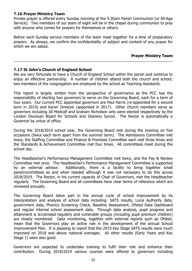# **7.16 Prayer Ministry Team**

Private prayer is offered every Sunday morning at the 9.30am Parish Communion (or All-Age Service). Two members of our team of eight will be in the chapel during communion to pray with anyone who comes for prayers for themselves or others.

Before each Sunday service members of the team meet together for a time of preparatory prayers. As always, we confirm the confidentiality of subject and content of any prayer for which we are asked.

#### **Prayer Ministry Team**

# **7.17 St John's Church of England School**

We are very fortunate to have a Church of England School within the parish and continue to enjoy an effective partnership. A number of children attend both the church and school; two members of the congregation are employed by the school as Teaching Assistants.

This report is largely written from the perspective of governance as the PCC has the responsibility of electing two governors to serve on the Governing Board, each for a term of four years. Our current PCC appointed governors are Paul Harris (re-appointed for a second term in 2019) and Karen Omisore (appointed in 2017). Other church members serve as governors including Jill Medcalf and Graham Nicholson who were elected respectively by the London Diocesan Board for Schools and Deanery Synod. The Rector is automatically a Governor by virtue of office.

During the 2018/2019 school year, the Governing Board met during the evening on five occasions (twice each term apart from the summer term). The Admissions Committee met twice, the Staffing Committee and Finance & Premises Committee each met three times and the Standards & Achievement Committee met four times. All committees meet during the school day.

The Headteacher's Performance Management Committee met twice, and the Pay & Review Committee met once. The Headteacher's Performance Management Committee is supported by an external advisor. Additionally, there is a facility to bring together small panel/committees as and when needed although it was not necessary to do this across 2018/2019. The Rector, in his current capacity of Chair of Governors, met the Headteacher regularly. The Governing Board and all committees have clear terms of reference which are reviewed annually.

The Governing Board takes part in the annual cycle of school improvement by its interpretation and analysis of school data including: SATS results, Local Authority data, government data, Phonics Screening Check, Baseline Assessment, Ofsted Data Dashboard and regular internal school assessment data. Through data analysis, pupil progress and attainment is scrutinised regularly and vulnerable groups (including pupil premium children) are closely monitored. Data monitoring, together with external reports such as Ofsted, mean that the Governors play an active role in the development of the annual School Improvement Plan. It is pleasing to report that the 2019 Key Stage SATS results were much improved on 2018 and above national averages. All other results (Early Years and Key Stage 1) were also good.

Governors are expected to undertake training to fulfil their role and enhance their contribution. During 2018/2019 various courses were offered to governors including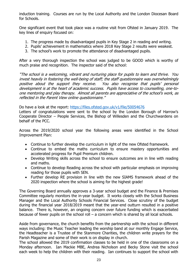induction training. Courses are run by the Local Authority and the London Diocesan Board for Schools.

One significant event that took place was a routine visit from Ofsted in January 2019. The key lines of enquiry focused on:

- 1. The progress made by disadvantaged pupils in Key Stage 2 in reading and writing.
- 2. Pupils' achievement in mathematics where 2018 Key Stage 2 results were weakest.
- 3. The school's work to promote the attendance of disadvantaged pupils.

After a very thorough inspection the school was judged to be GOOD which is worthy of much praise and recognition. The inspector said of the school:

"The school is a welcoming, vibrant and nurturing place for pupils to learn and thrive. You invest heavily in fostering the well-being of staff; the staff questionnaire was overwhelmingly positive about the support they receive. You also recognise that pupils' personal development is at the heart of academic success. Pupils have access to counselling, one-toone mentoring and play therapy. Almost all parents are appreciative of the school's work, as reflected in the Parent View online questionnaire."

Do have a look at the report:<https://files.ofsted.gov.uk/v1/file/50054676> Letters of congratulations were sent to the school by the London Borough of Harrow's Cooperate Director – People Services, the Bishop of Willesden and the Churchwardens on behalf of the PCC.

Across the 2019/2020 school year the following areas were identified in the School Improvement Plan:

- Continue to further develop the curriculum in light of the new Ofsted framework.
- Continue to embed the maths curriculum to ensure mastery opportunities and accelerated progress for Pupil Premium children.
- Develop Writing skills across the school to ensure outcomes are in line with reading and maths.
- Continue to develop Reading across the school with particular emphasis on improving reading for those pupils with SEN.
- Further develop RE provision in line with the new SIAMS framework ahead of the 2020 inspection where the school is aiming for the highest grade!

The Governing Board annually approves a 3-year school budget and the Finance & Premises Committee regularly monitors the in-year budget. It works closely with the School Business Manager and the Local Authority Schools Financial Services. Close scrutiny of the budget during the financial year 2018/2019 meant that the year-end outturn resulted in a positive balance. There is, however, an ongoing concern over future funding which is exacerbated because of fewer pupils on the school roll  $-$  a concern which is shared by all local schools.

Aside from governance, the church benefits from the partnership with the school in different ways including: the Music Teacher leading the worship band at our monthly Engage Service, the Headteacher is a Trustee of the Stanmore Charities, the children write prayers for the Parish Magazine and some of their work is on display in church.

The school allowed the 2019 confirmation classes to be held in one of the classrooms on a Monday afternoon. Ian Mackie MBE, Andrea Nicholson and Becky Stone visit the school each week to help the children with their reading. Ian continues to support the school with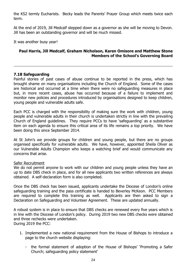the KS2 termly Eucharists. Becky leads the Parents' Prayer Group which meets twice each term.

At the end of 2019, Jill Medcalf stepped down as a governor as she will be moving to Devon. Jill has been an outstanding governor and will be much missed.

It was another busy year!

# **Paul Harris, Jill Medcalf, Graham Nicholson, Karen Omisore and Matthew Stone Members of the School's Governing Board**

#### **7.18 Safeguarding**

Painful stories of past cases of abuse continue to be reported in the press, which has brought shame on many organisations including the Church of England. Some of the cases are historical and occurred at a time when there were no safeguarding measures in place but, in more recent cases, abuse has occurred because of a failure to implement and monitor new policies and procedures introduced by organisations designed to keep children, young people and vulnerable adults safe.

Each PCC is charged with the responsibility of making sure the work with children, young people and vulnerable adults in their church is undertaken strictly in line with the prevailing Church of England guidelines. They require PCCs to have 'safeguarding' as a substantive item on each agenda to ensure this critical area of its life remains a top priority. We have been doing this since September 2014.

At St John's we provide groups for children and young people, but there are no groups organised specifically for vulnerable adults. We have, however, appointed Sheila Oliver as our Vulnerable Adults Champion who keeps a watching brief and would communicate any concerns that arise.

#### Safer Recruitment

We do not permit anyone to work with our children and young people unless they have an up to date DBS check in place, and for all new applicants two written references are always obtained. A self-declaration form is also completed.

Once the DBS check has been issued, applicants undertake the Diocese of London's online safeguarding training and the pass certificate is handed to Beverley McKeon. PCC Members are required to complete this training as well. Applicants are then asked to sign a Declaration on Safeguarding and Volunteer Agreement. These are updated annually.

A robust system is in place to ensure that DBS checks are renewed every five years which is in line with the Diocese of London's policy. During 2019 two new DBS checks were obtained and three rechecks were undertaken. During 2019 the PCC:

- 1. Implemented a new national requirement from the House of Bishops to introduce a page to the church website displaying:
	- the formal statement of adoption of the House of Bishops' 'Promoting a Safer Church; safeguarding policy statement'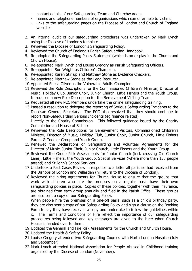- contact details of our Safeguarding Team and Churchwardens
- names and telephone numbers of organisations which can offer help to victims
- links to the safeguarding pages on the Diocese of London and Church of England websites
- 2. An internal audit of our safeguarding procedures was undertaken by Mark Lynch using the Diocese of London's template.
- 3. Reviewed the Diocese of London's Safeguarding Policy.
- 4. Reviewed the Church of England's Parish Safeguarding Handbook.
- 5. Re-adopted the Safeguarding Policy Statement (which is on display in the Church and Church House).
- 6. Re-appointed Mark Lynch and Louise Gregory as Parish Safeguarding Officers.
- 7. Re-appointed Sue Wright as Children's Champion.
- 8. Re-appointed Karen Stirrup and Matthew Stone as Evidence Checkers.
- 9. Re-appointed Matthew Stone as the Lead Recruiter.
- 10.Appointed Sheila Oliver as the Vulnerable Adults Champion.
- 11.Reviewed the Role Descriptions for the Commissioned Children's Minister, Director of Music, Holiday Club, Junior Choir, Junior Church, Little Fishers and the Youth Group. Introduced a new Role Description for the Bereavement Visiting Team.
- 12.Requested all new PCC Members undertake the online safeguarding training.
- 13.Passed a resolution to delegate the reporting of Serious Safeguarding Incidents to the Diocesan General Secretary. The PCC also resolved that they should continue to report Non-Safeguarding Serious Incidents (eg finance related) Directly to the Charity Commission. This followed guidance issued by the Charity Commission and House of Bishops.
- 14.Reviewed the Role Descriptions for Bereavement Visitors, Commissioned Children's Minister, Director of Music, Holiday Club, Junior Choir, Junior Church, Little Fishers Parent & Toddler Group and Youth Group.
- 15.Renewed the Declarations on Safeguarding and Volunteer Agreements for the Director of Music, Junior Choir, Junior Church, Little Fishers and the Youth Group.
- 16.Reviewed the Group Risk Assessments for Junior Church (incl. crossing Old Church Lane), Little Fishers, the Youth Group, Special Services (where more than 150 people attend) and St John's School Services.
- 17.Undertook a Past Cases Review in response to a letter all parishes had received from the Bishops of London and Willesden (nil return to the Diocese of London).
- 18.Reviewed the hiring agreements for Church House to ensure that the groups that work with children who hire the premises on a regular basis have their own safeguarding policies in place. Copies of these policies, together with their insurance, are obtained from each group annually and filed in the Parish Office. These groups are also sent a copy of our Safeguarding Policy.

When people hire the premises on a one-off basis, such as a child's birthday party, they are also sent a copy of our Safeguarding Policy and sign a clause on the Booking Form to say they have received a copy and undertake to follow the guidelines within it. The Terms and Conditions of Hire reflect the importance of our safeguarding procedures being followed and key messages are given to the hirer when Church House is handed over to them.

- 19.Updated the General and Fire Risk Assessments for the Church and Church House.
- 20.Updated the Health & Safety Policy.
- 21.Louise Gregory attended two Safeguarding Courses with North London Hospice (July and September).
- 22.Mark Lynch attended National Association for People Abused in Childhood training organised by the Diocese of London (November).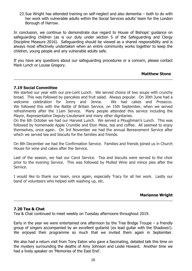23.Sue Wright has attended training on self-neglect and also dementia – both to do with her work with vulnerable adults within the Social Services adults' team for the London Borough of Harrow.

In conclusion, we continue to demonstrate due regard to House of Bishops' guidance on safeguarding children (as is our duty under section 5 of the Safeguarding and Clergy Discipline Measure 2016). Safeguarding should be viewed as a shared responsibility and is always most effectively undertaken when an entire community works together to keep the children, young people and any vulnerable adults safe.

If you have any questions about our safeguarding procedures or a concern, please contact Mark Lynch or Louise Gregory.

#### **Matthew Stone**

# **7.19 Social Committee**

We started our year with our pre-Lent Lunch. We served choice of two soups with crunchy bread. This was followed by pancakes and fruit salad. Always popular. On 30th June had a welcome celebration for Jonny and Jenna. We had cakes and Prosecco. We followed this with the Battle of Britain Service, on 15th September, when we served refreshments after the 11am Service. Many people attended this service including the Mayor, Representative Deputy-Lieutenant and many other dignitaries.

On the 6th October we had our Harvest Lunch. We served a Ploughman's Lunch. This was followed by homemade Apple Crumble and Eton Mess, tea and coffee. All seemed to enjoy themselves, once again. On 3rd November we had the annual Bereavement Service after which we served tea and biscuits for the families and friends.

On 8th December we had the Confirmation Service. Families and friends joined us in Church House for wine and cakes after the Service.

Last of the season, we had our Carol Service. Tea and biscuits were served to the choir prior to the evening Service. This was followed by Mulled Wine and mince pies after the Service.

I would like to thank our team, once again, especially Tracy for all her work. Lastly our band of volunteers who helped with washing up, etc.

# **Marianne Wright**

# **7.20 Tea & Chat**

Tea & Chat continued to meet weekly on Tuesday afternoons throughout 2019.

Early in the year we were entertained one afternoon by the Tree Bridge Troupe – a friendly group of singers accompanied by an excellent guitarist (ex lead guitar with the Shadows!). We enjoyed their programme so much that we invited them again in September.

We also had a return visit from Tony Eaton who gave a fascinating, detailed talk this time on the mystery surrounding the deaths of Amy Johnson and Leslie Howard. Another time we had a lively speaker on 'Memories of the East End'.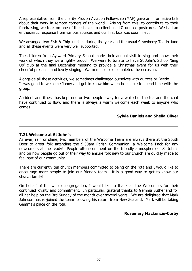A representative from the charity Mission Aviation Fellowship (MAF) gave an informative talk about their work in remote corners of the world. Arising from this, to contribute to their fundraising, we took on one of their boxes to collect used & unused postcards. We had an enthusiastic response from various sources and our first box was soon filled.

We arranged two Fish & Chip lunches during the year and the usual Strawberry Tea in June and all these events were very well supported.

The children from Aylward Primary School made their annual visit to sing and show their work of which they were rightly proud. We were fortunate to have St John's School 'Sing Up' club at the final December meeting to provide a Christmas event for us with their cheerful presence and lovely singing. Warm mince pies completed the occasion.

Alongside all these activities, we sometimes challenged ourselves with quizzes or Beetle. It was good to welcome Jonny and get to know him when he is able to spend time with the group.

Accident and illness has kept one or two people away for a while but the tea and the chat have continued to flow, and there is always a warm welcome each week to anyone who comes.

#### **Sylvia Daniels and Sheila Oliver**

#### **7.21 Welcome at St John's**

As ever, rain or shine, two members of the Welcome Team are always there at the South Door to greet folk attending the 9.30am Parish Communion, a Welcome Pack for any newcomers at the ready! People often comment on the friendly atmosphere of St John's and on how people go out of their way to ensure folk new to our church are quickly made to feel part of our community.

There are currently ten church members committed to being on the rota and I would like to encourage more people to join our friendly team. It is a good way to get to know our church family!

On behalf of the whole congregation, I would like to thank all the Welcomers for their continued loyalty and commitment. In particular, grateful thanks to Gemma Sutherland for all her help on the 3rd Sunday of the month over several years. We are delighted that Mark Johnson has re-joined the team following his return from New Zealand. Mark will be taking Gemma's place on the rota.

# **Rosemary Mackenzie-Corby**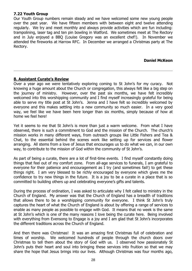# **7.22 Youth Group**

Our Youth Group numbers remain steady and we have welcomed some new young people over the past year. We have fifteen members with between eight and twelve attending regularly. We try and meet monthly and always provide activities which are fun including: trampolining, laser tag and ten pin bowling in Watford. We sometimes meet at The Rectory and in July enjoyed a BBQ (Louise Gregory was an excellent chef!). In November we attended the fireworks at Harrow RFC. In December we arranged a Christmas party at The Rectory.

**Daniel McKeon**

# **8. Assistant Curate's Review**

Over a year ago we were tentatively exploring coming to St John's for my curacy. Not knowing a huge amount about the Church or congregation, this always felt like a big step on the journey of ministry. However, over the past six months, we have felt incredibly welcomed into this worshipping community and I find myself increasingly grateful for being able to serve my title post at St John's. Jenna and I have felt so incredibly welcomed by everyone and this makes settling into a new community so much easier. In a very good way, we feel like we have been here longer than six months, simply because of how at home we feel here!

Yet it seems to me that St John's is more than just a warm welcome. From what I have observed, there is such a commitment to God and the mission of the Church. The church's mission works in many different ways, from outreach groups like Little Fishers and Tea & Chat, to the essential behind the scenes work like setting up for services and flower arranging. All stems from a love of Jesus that encourages us to do what we can, in our own way, to contribute to the mission of God within the community of St John's.

As part of being a curate, there are a lot of first-time events. I find myself constantly doing things that feel out of my comfort zone. From all-age services to funerals, I am grateful to everyone for their patience and encouragement as I try (and sometimes fail!) to get these things right. I am very blessed to be richly encouraged by everyone which gives me the confidence to try new things in the future. It is a joy to be a curate in a place that is so committed to building others up and celebrating everyone's gifts and talents.

During the process of ordination, I was asked to articulate why I felt called to ministry in the Church of England. My answer was that the Church of England has a breadth of traditions that allows there to be a worshipping community for everyone. I think St John's truly captures the heart of what the Church of England is about by offering a range of services to enable as many people as possible to engage with God. It means that no week is the same at St John's which is one of the many reasons I love being the curate here. Being involved with everything from Evensong to Engage is a joy and I am glad that St John's incorporates the different traditions across the Church of England.

And then there was Christmas! It was an amazing first Christmas full of celebration and times of worship. We welcomed hundreds of people through the church doors over Christmas to tell them about the story of God with us. I observed how passionately St John's puts their heart and soul into bringing these services into fruition so that we may share the hope that Jesus brings into our lives. Although Christmas was four months ago,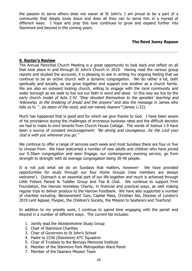the passion to serve others does not waver at St John's. I am proud to be a part of a community that deeply loves Jesus and does all they can to serve him in a myriad of different ways. I hope and pray this love continues to grow and expand further into Stanmore and beyond in the coming years.

# **The Revd Jonny Rapson**

#### **9. Rector's Review**

The Annual Parochial Church Meeting is a great opportunity to look back and reflect on all that took place in and through St John's Church in 2019. Having read the various group reports and studied the accounts, it is pleasing to see in writing my ongoing feeling that we continue to be an active church with a dynamic congregation. We do rather a lot, both spiritually and socially, as we grow together and support one another as a church family. We are also an outward looking church, willing to engage with the local community and wider borough as we seek to live out our faith in word and deed. In this way we live by the early church model of Acts 2:42 "they devoted themselves to the apostles' teaching and fellowship, to the breaking of bread and the prayers" and also the message in James who tells us to "...be doers of the word, and not merely hearers" (James 1:22).

Much has happened that is good and for which we give thanks to God. I have been aware of his providence during the challenges of erroneous business rates and the difficult decision we had to make to evict tenants from Church House Cottage. The words of Joshua 1:9 have been a source of constant encouragement: "Be strong and courageous...for the Lord your God is with you wherever you go."

We continue to offer a range of services each week and most Sundays there are four or five to choose from. We have welcomed a number of new adults and children who have joined our 9.30am congregation and seen Engage, our contemporary evening service, go from strength to strength with its average congregation being 30-40 people.

It is not just what we do on Sundays that matters, however! We have provided opportunities for study through our four Home Groups (new members are always welcome!). Outreach is an essential part of our life together and much is achieved through Little Fishers Parent & Toddler Group and Tea & Chat. We continue to support Firm Foundation, the Harrow Homeless Charity, in financial and practical ways, as well making regular trips to deliver produce to the Harrow Foodbank. We have also supported a number of charities including: Bereavement Care, Capital Mass, Christian Aid, Diocese of London's 2019 Lent Appeal, Flyspec, the Children's Society, the Mission to Seafarers and Tearfund.

In addition to my priestly work, I continue to spend time engaging with the parish and beyond in a number of different ways. The current list includes:

- 1. Jointly lead the Wolstenholme Study Group
- 2. Chair of Stanmore Charities
- 3. Chair of Governors to St John's School
- 4. Padre to 2236 (Stanmore) ATC Squadron
- 5. Chair of Trustees to the Bernays Memorial Institute
- 6. Member of the Stanmore Park Metropolitan Ward Panel
- 7. Member of the Deanery Mission Team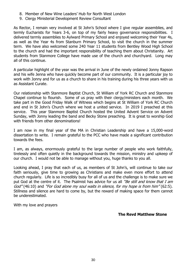- 8. Member of New Wine Leaders' Hub for North West London
- 9. Clergy Ministerial Development Review Consultant

As Rector, I remain very involved at St John's School where I give regular assemblies, and termly Eucharists for Years 3-6, on top of my fairly heavy governance responsibilities. I delivered termly assemblies to Aylward Primary School and enjoyed welcoming their Year 4s, as well as the Year 4s from Stanburn Primary School, to visit the church in the summer term. We have also welcomed some 240 Year 11 students from Bentley Wood High School to the church and had the important responsibility of teaching them about Christianity. Art students from Stanmore College have made use of the church and churchyard. Long may all of this continue.

A particular highlight of the year was the arrival in June of the newly ordained Jonny Rapson and his wife Jenna who have quickly become part of our community. It is a particular joy to work with Jonny and for us as a church to share in his training during his three years with us as Assistant Curate.

Our relationship with Stanmore Baptist Church, St William of York RC Church and Stanmore Chapel continue to flourish. Some of us pray with their clergy/ministers each month. We take part in the Good Friday Walk of Witness which begins at St William of York RC Church and end in St John's Church where we host a united service. In 2019 I preached at this service. This year Stanmore Baptist Church hosted the United Advent Service on Advent Sunday, with Jonny leading the band and Becky Stone preaching. It is great to worship God with friends from other denominations!

I am now in my final year of the MA in Christian Leadership and have a 15,000-word dissertation to write. I remain grateful to the PCC who have made a significant contribution towards the fees.

I am, as always, enormously grateful to the large number of people who work faithfully, tirelessly and often quietly in the background towards the mission, ministry and upkeep of our church. I would not be able to manage without you, huge thanks to you all.

Looking ahead, I pray that each of us, as members of St John's, will continue to take our faith seriously, give time to growing as Christians and make even more effort to attend church regularly. Life is so incredibly busy for all of us and the challenge is to make sure we put God at the centre of it. The Psalmist has advice for us all "Be still and know that I am God" (46:10) and "For God alone my soul waits in silence, for my hope is from him" (62:5). Stillness and silence are hard to come by, but the reward of making space for them cannot be underestimated.

With my love and prayers

**The Revd Matthew Stone**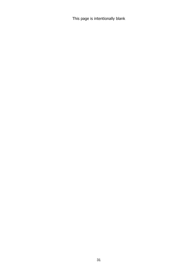This page is intentionally blank